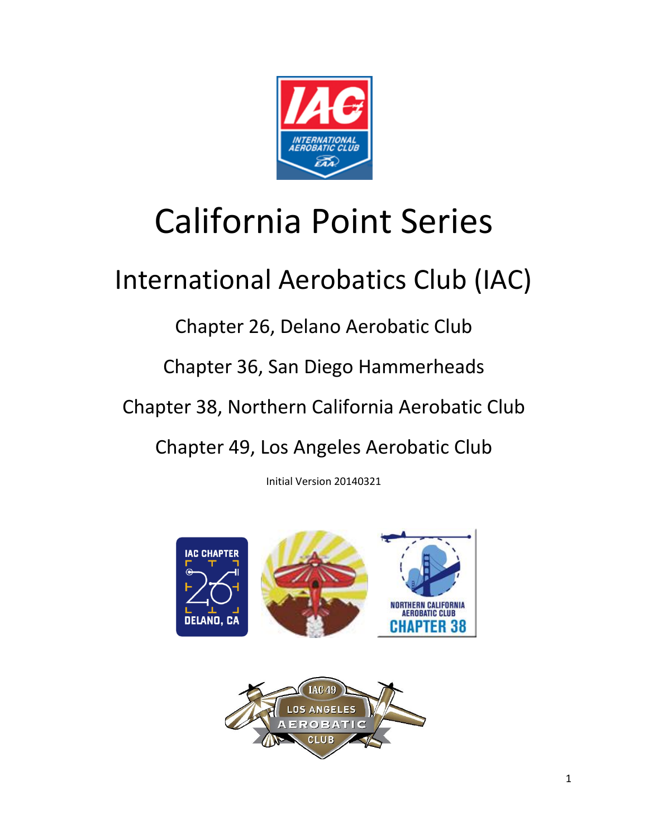

# California Point Series

## International Aerobatics Club (IAC)

Chapter 26, Delano Aerobatic Club

Chapter 36, San Diego Hammerheads

Chapter 38, Northern California Aerobatic Club

Chapter 49, Los Angeles Aerobatic Club

Initial Version 20140321



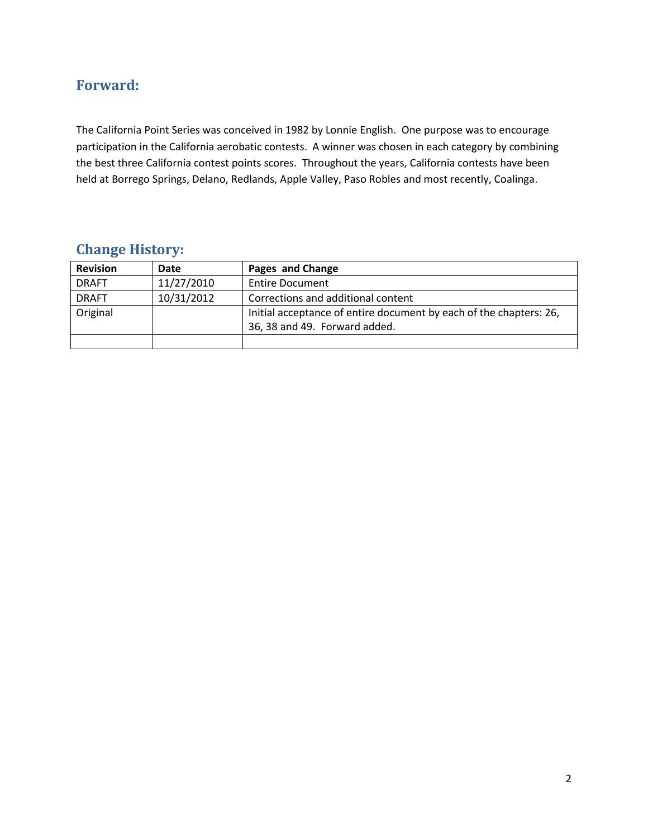#### <span id="page-1-0"></span>**Forward:**

The California Point Series was conceived in 1982 by Lonnie English. One purpose was to encourage participation in the California aerobatic contests. A winner was chosen in each category by combining the best three California contest points scores. Throughout the years, California contests have been held at Borrego Springs, Delano, Redlands, Apple Valley, Paso Robles and most recently, Coalinga.

#### <span id="page-1-1"></span>**Change History:**

| <b>Revision</b> | Date       | Pages and Change                                                                                    |
|-----------------|------------|-----------------------------------------------------------------------------------------------------|
| <b>DRAFT</b>    | 11/27/2010 | <b>Entire Document</b>                                                                              |
| <b>DRAFT</b>    | 10/31/2012 | Corrections and additional content                                                                  |
| Original        |            | Initial acceptance of entire document by each of the chapters: 26,<br>36, 38 and 49. Forward added. |
|                 |            |                                                                                                     |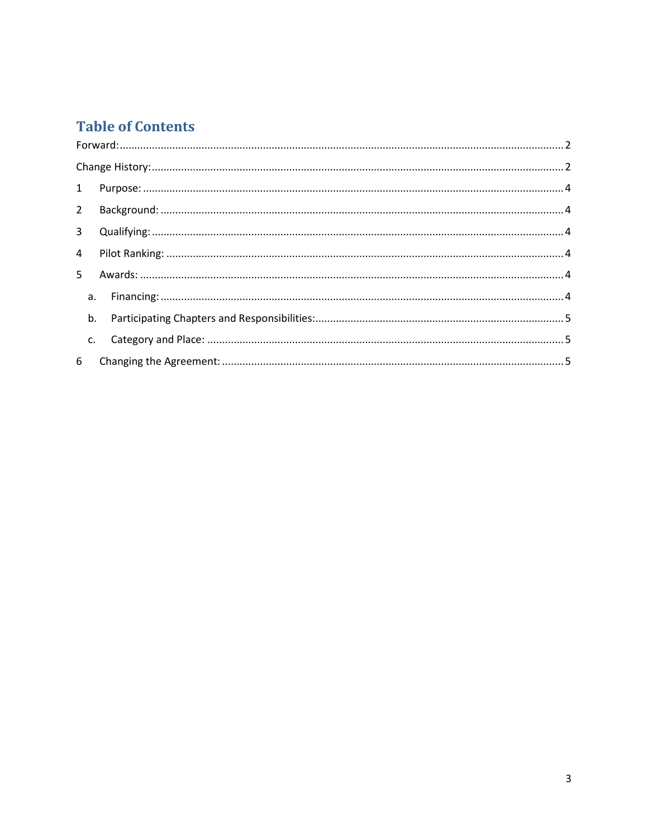### **Table of Contents**

| $2^{\circ}$    |    |  |
|----------------|----|--|
|                |    |  |
| $\overline{4}$ |    |  |
|                |    |  |
|                |    |  |
|                |    |  |
|                | C. |  |
| 6              |    |  |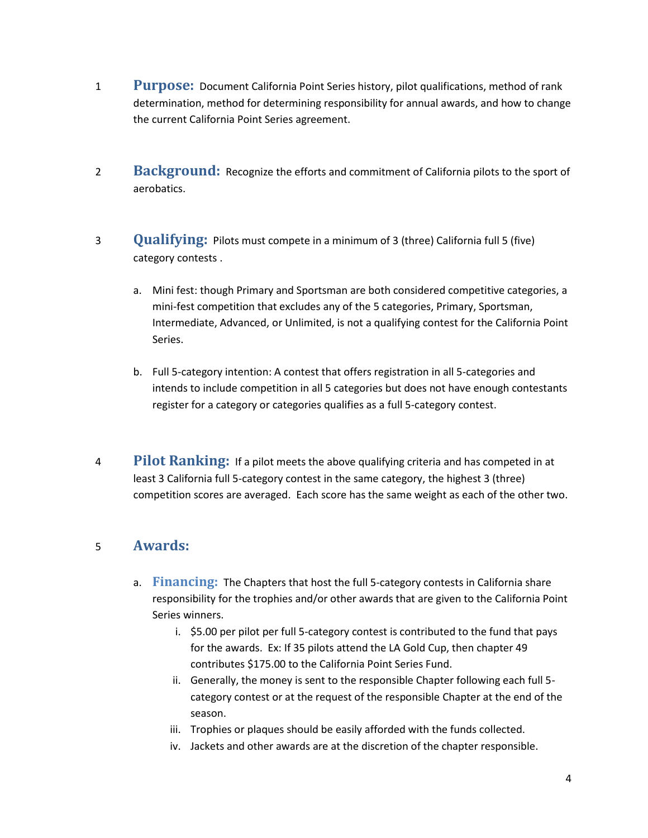- <span id="page-3-0"></span>1 **Purpose:** Document California Point Series history, pilot qualifications, method of rank determination, method for determining responsibility for annual awards, and how to change the current California Point Series agreement.
- <span id="page-3-1"></span>2 **Background:** Recognize the efforts and commitment of California pilots to the sport of aerobatics.
- <span id="page-3-2"></span>3 **Qualifying:** Pilots must compete in a minimum of 3 (three) California full 5 (five) category contests .
	- a. Mini fest: though Primary and Sportsman are both considered competitive categories, a mini-fest competition that excludes any of the 5 categories, Primary, Sportsman, Intermediate, Advanced, or Unlimited, is not a qualifying contest for the California Point Series.
	- b. Full 5-category intention: A contest that offers registration in all 5-categories and intends to include competition in all 5 categories but does not have enough contestants register for a category or categories qualifies as a full 5-category contest.
- <span id="page-3-3"></span>4 **Pilot Ranking:** If a pilot meets the above qualifying criteria and has competed in at least 3 California full 5-category contest in the same category, the highest 3 (three) competition scores are averaged. Each score has the same weight as each of the other two.

#### <span id="page-3-5"></span><span id="page-3-4"></span>5 **Awards:**

- a. **Financing:** The Chapters that host the full 5-category contests in California share responsibility for the trophies and/or other awards that are given to the California Point Series winners.
	- i. \$5.00 per pilot per full 5-category contest is contributed to the fund that pays for the awards. Ex: If 35 pilots attend the LA Gold Cup, then chapter 49 contributes \$175.00 to the California Point Series Fund.
	- ii. Generally, the money is sent to the responsible Chapter following each full 5 category contest or at the request of the responsible Chapter at the end of the season.
	- iii. Trophies or plaques should be easily afforded with the funds collected.
	- iv. Jackets and other awards are at the discretion of the chapter responsible.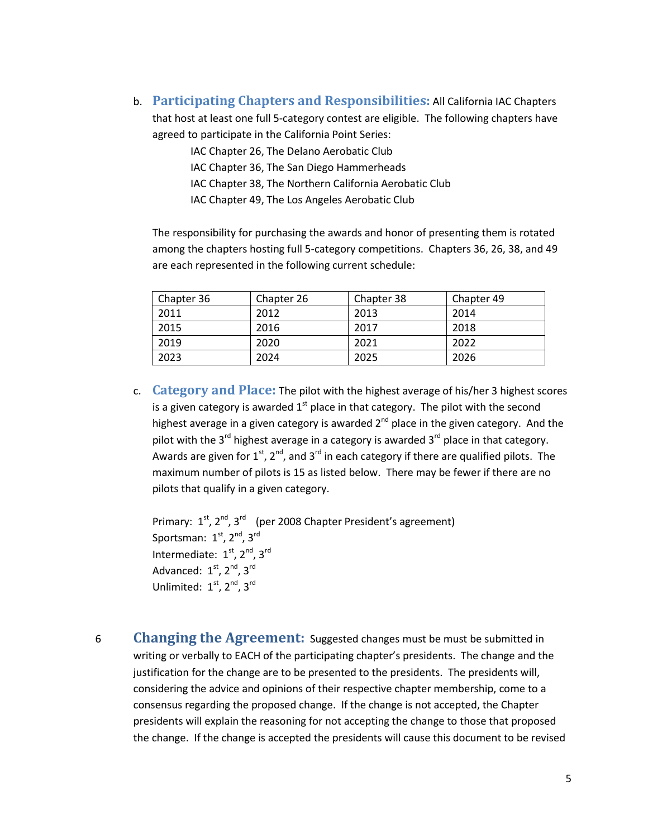<span id="page-4-0"></span>b. **Participating Chapters and Responsibilities:** All California IAC Chapters that host at least one full 5-category contest are eligible. The following chapters have agreed to participate in the California Point Series:

IAC Chapter 26, The Delano Aerobatic Club

IAC Chapter 36, The San Diego Hammerheads

IAC Chapter 38, The Northern California Aerobatic Club

IAC Chapter 49, The Los Angeles Aerobatic Club

The responsibility for purchasing the awards and honor of presenting them is rotated among the chapters hosting full 5-category competitions. Chapters 36, 26, 38, and 49 are each represented in the following current schedule:

| Chapter 36 | Chapter 26 | Chapter 38 | Chapter 49 |
|------------|------------|------------|------------|
| 2011       | 2012       | 2013       | 2014       |
| 2015       | 2016       | 2017       | 2018       |
| 2019       | 2020       | 2021       | 2022       |
| 2023       | 2024       | 2025       | 2026       |

<span id="page-4-1"></span>c. **Category and Place:** The pilot with the highest average of his/her 3 highest scores is a given category is awarded  $1<sup>st</sup>$  place in that category. The pilot with the second highest average in a given category is awarded  $2<sup>nd</sup>$  place in the given category. And the pilot with the  $3^{rd}$  highest average in a category is awarded  $3^{rd}$  place in that category. Awards are given for  $1<sup>st</sup>$ ,  $2<sup>nd</sup>$ , and  $3<sup>rd</sup>$  in each category if there are qualified pilots. The maximum number of pilots is 15 as listed below. There may be fewer if there are no pilots that qualify in a given category.

Primary: 1<sup>st</sup>, 2<sup>nd</sup>, 3<sup>rd</sup> (per 2008 Chapter President's agreement) Sportsman: 1<sup>st</sup>, 2<sup>nd</sup>, 3<sup>rd</sup> Intermediate:  $1<sup>st</sup>$ ,  $2<sup>nd</sup>$ ,  $3<sup>rd</sup>$ Advanced:  $1<sup>st</sup>$ ,  $2<sup>nd</sup>$ ,  $3<sup>rd</sup>$ Unlimited: 1<sup>st</sup>, 2<sup>nd</sup>, 3<sup>rd</sup>

<span id="page-4-2"></span>6 **Changing the Agreement:** Suggested changes must be must be submitted in writing or verbally to EACH of the participating chapter's presidents. The change and the justification for the change are to be presented to the presidents. The presidents will, considering the advice and opinions of their respective chapter membership, come to a consensus regarding the proposed change. If the change is not accepted, the Chapter presidents will explain the reasoning for not accepting the change to those that proposed the change. If the change is accepted the presidents will cause this document to be revised